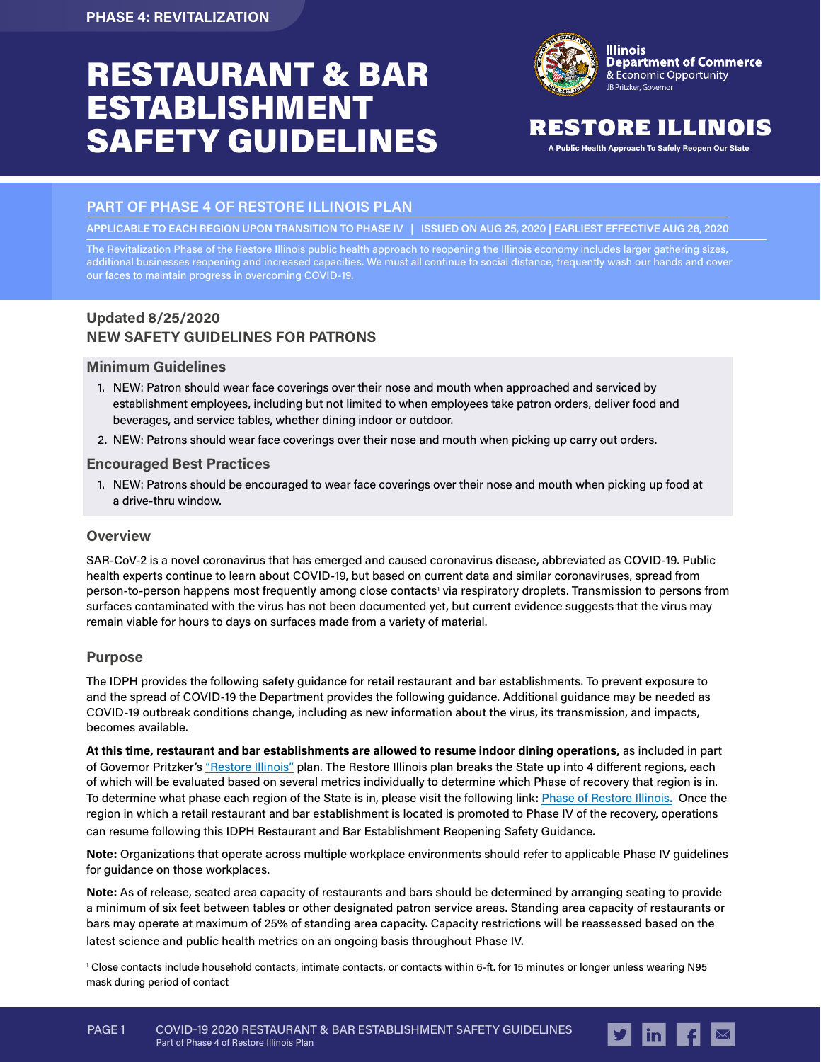# RESTAURANT & BAR ESTABLISHMENT SAFETY GUIDELINES **Examples a Public Health Approach To Safely Reopen Our State**



### RESTORE ILLINOIS

### **PART OF PHASE 4 OF RESTORE ILLINOIS PLAN**

**APPLICABLE TO EACH REGION UPON TRANSITION TO PHASE IV | ISSUED ON AUG 25, 2020 | EARLIEST EFFECTIVE AUG 26, 2020**

The Revitalization Phase of the Restore Illinois public health approach to reopening the Illinois economy includes larger gathering sizes, additional businesses reopening and increased capacities. We must all continue to social distance, frequently wash our hands and cover our faces to maintain progress in overcoming COVID-19.

### **Updated 8/25/2020 NEW SAFETY GUIDELINES FOR PATRONS**

#### **Minimum Guidelines**

- 1. NEW: Patron should wear face coverings over their nose and mouth when approached and serviced by establishment employees, including but not limited to when employees take patron orders, deliver food and beverages, and service tables, whether dining indoor or outdoor.
- 2. NEW: Patrons should wear face coverings over their nose and mouth when picking up carry out orders.

#### **Encouraged Best Practices**

1. NEW: Patrons should be encouraged to wear face coverings over their nose and mouth when picking up food at a drive-thru window.

#### **Overview**

SAR-CoV-2 is a novel coronavirus that has emerged and caused coronavirus disease, abbreviated as COVID-19. Public health experts continue to learn about COVID-19, but based on current data and similar coronaviruses, spread from person-to-person happens most frequently among close contacts<sup>1</sup> via respiratory droplets. Transmission to persons from surfaces contaminated with the virus has not been documented yet, but current evidence suggests that the virus may remain viable for hours to days on surfaces made from a variety of material.

#### **Purpose**

The IDPH provides the following safety guidance for retail restaurant and bar establishments. To prevent exposure to and the spread of COVID-19 the Department provides the following guidance. Additional guidance may be needed as COVID-19 outbreak conditions change, including as new information about the virus, its transmission, and impacts, becomes available.

**At this time, restaurant and bar establishments are allowed to resume indoor dining operations,** as included in part of Governor Pritzker's ["Restore Illinois"](https://coronavirus.illinois.gov/sfc/servlet.shepherd/document/download/069t000000BadS0AAJ?operationContext=S1) plan. The Restore Illinois plan breaks the State up into 4 different regions, each of which will be evaluated based on several metrics individually to determine which Phase of recovery that region is in. To determine what phase each region of the State is in, please visit the following link: [Phase of Restore Illinois.](http://www.dph.illinois.gov/restore) Once the region in which a retail restaurant and bar establishment is located is promoted to Phase IV of the recovery, operations can resume following this IDPH Restaurant and Bar Establishment Reopening Safety Guidance.

**Note:** Organizations that operate across multiple workplace environments should refer to applicable Phase IV guidelines for guidance on those workplaces.

**Note:** As of release, seated area capacity of restaurants and bars should be determined by arranging seating to provide a minimum of six feet between tables or other designated patron service areas. Standing area capacity of restaurants or bars may operate at maximum of 25% of standing area capacity. Capacity restrictions will be reassessed based on the latest science and public health metrics on an ongoing basis throughout Phase IV.

1 Close contacts include household contacts, intimate contacts, or contacts within 6-ft. for 15 minutes or longer unless wearing N95 mask during period of contact

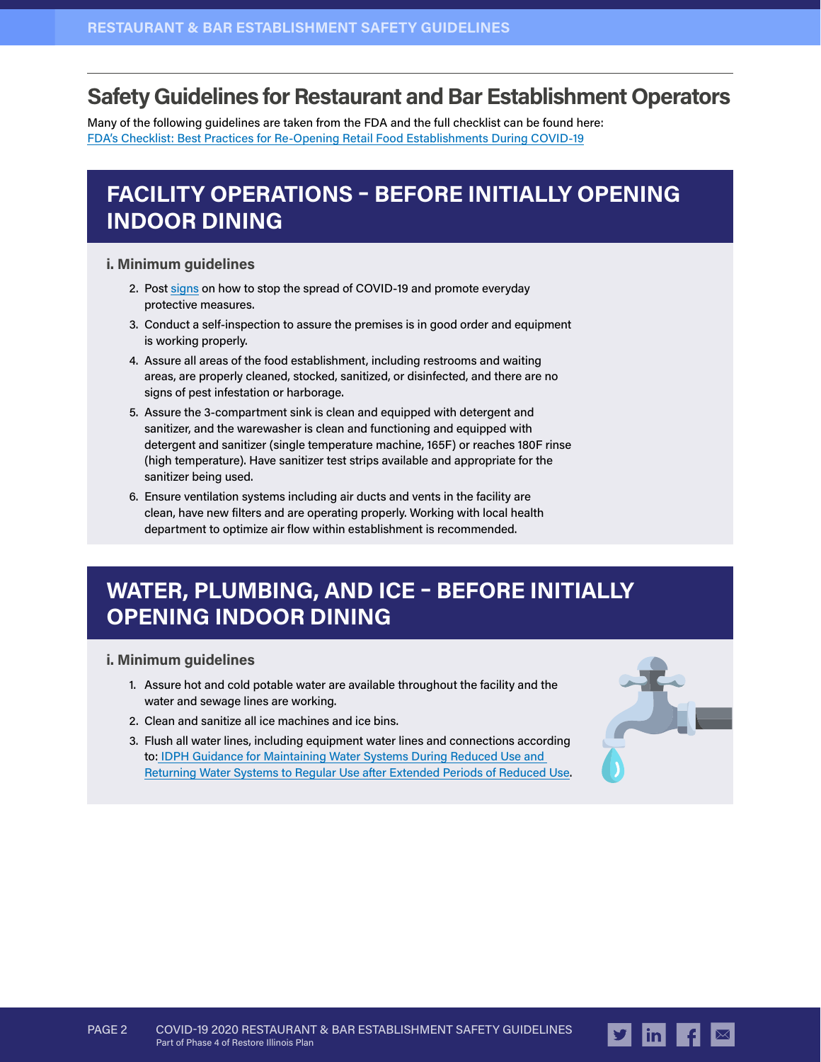### **Safety Guidelines for Restaurant and Bar Establishment Operators**

Many of the following guidelines are taken from the FDA and the full checklist can be found here: [FDA's Checklist: Best Practices for Re-Opening Retail Food Establishments During COVID-19](http://www.afdo.org/resources/Documents/COVID19/COVID19_ReopenChecklist_1442.pdf)

# **FACILITY OPERATIONS – BEFORE INITIALLY OPENING INDOOR DINING**

#### **i. Minimum guidelines**

- 2. Post [signs](https://www.cdc.gov/coronavirus/2019-ncov/downloads/stop-the-spread-of-germs.pdf) on how to stop the spread of COVID-19 and promote everyday protective measures.
- 3. Conduct a self-inspection to assure the premises is in good order and equipment is working properly.
- 4. Assure all areas of the food establishment, including restrooms and waiting areas, are properly cleaned, stocked, sanitized, or disinfected, and there are no signs of pest infestation or harborage.
- 5. Assure the 3-compartment sink is clean and equipped with detergent and sanitizer, and the warewasher is clean and functioning and equipped with detergent and sanitizer (single temperature machine, 165F) or reaches 180F rinse (high temperature). Have sanitizer test strips available and appropriate for the sanitizer being used.
- 6. Ensure ventilation systems including air ducts and vents in the facility are clean, have new filters and are operating properly. Working with local health department to optimize air flow within establishment is recommended.

# **WATER, PLUMBING, AND ICE – BEFORE INITIALLY OPENING INDOOR DINING**

#### **i. Minimum guidelines**

- 1. Assure hot and cold potable water are available throughout the facility and the water and sewage lines are working.
- 2. Clean and sanitize all ice machines and ice bins.
- 3. Flush all water lines, including equipment water lines and connections according to: [IDPH Guidance for Maintaining Water Systems During Reduced Use and](http://www.dph.illinois.gov/sites/default/files/IDPH%20Plumbing%20Program%20General%20Building%20Guidance%20for%20Reopening%205.13.20%20%28002%29.pdf)  [Returning Water Systems to Regular Use after Extended Periods of Reduced Use.](http://www.dph.illinois.gov/sites/default/files/IDPH%20Plumbing%20Program%20General%20Building%20Guidance%20for%20Reopening%205.13.20%20%28002%29.pdf)

 $\mathsf{lin}$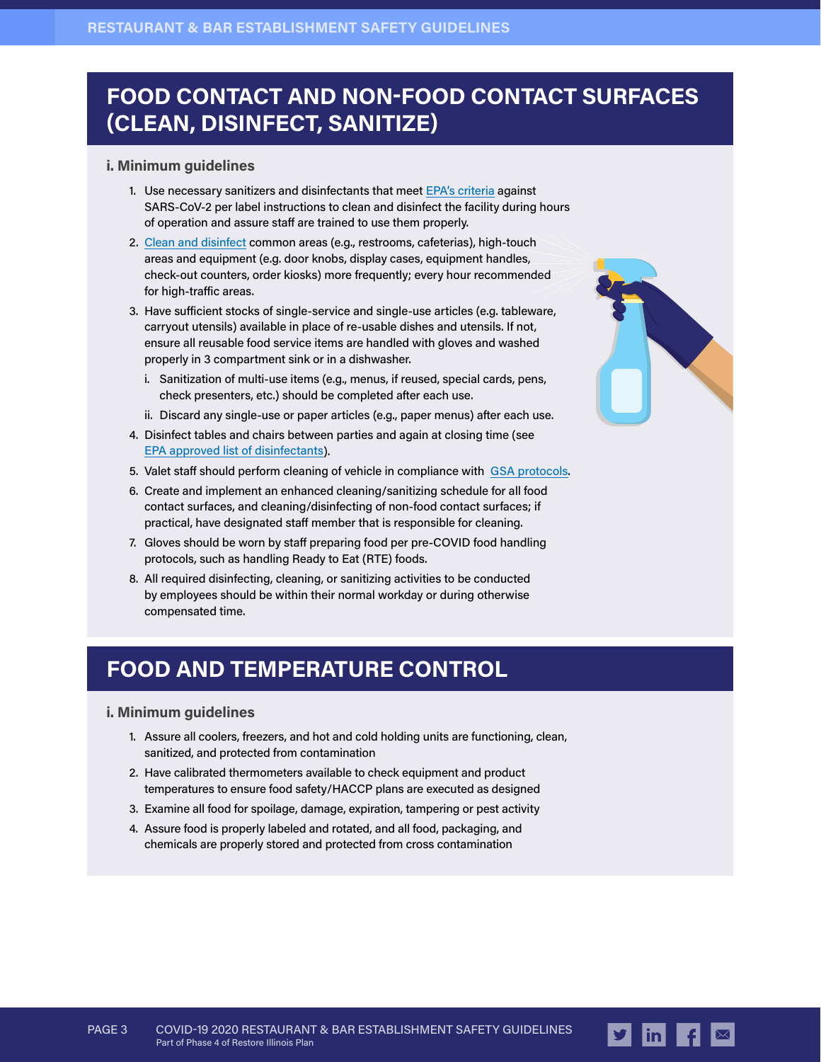# **FOOD CONTACT AND NON-FOOD CONTACT SURFACES (CLEAN, DISINFECT, SANITIZE)**

#### **i. Minimum guidelines**

- 1. Use necessary sanitizers and disinfectants that meet [EPA's criteria](https://www.epa.gov/pesticide-registration/list-n-disinfectants-use-against-sars-cov-2-covid-19) against SARS-CoV-2 per label instructions to clean and disinfect the facility during hours of operation and assure staff are trained to use them properly.
- 2. [Clean and disinfect](https://www.cdc.gov/coronavirus/2019-ncov/community/reopen-guidance.html) common areas (e.g., restrooms, cafeterias), high-touch areas and equipment (e.g. door knobs, display cases, equipment handles, check-out counters, order kiosks) more frequently; every hour recommended for high-traffic areas.
- 3. Have sufficient stocks of single-service and single-use articles (e.g. tableware, carryout utensils) available in place of re-usable dishes and utensils. If not, ensure all reusable food service items are handled with gloves and washed properly in 3 compartment sink or in a dishwasher.
	- i. Sanitization of multi-use items (e.g., menus, if reused, special cards, pens, check presenters, etc.) should be completed after each use.
	- ii. Discard any single-use or paper articles (e.g., paper menus) after each use.
- 4. Disinfect tables and chairs between parties and again at closing time (see [EPA approved list of disinfectants](https://www.epa.gov/pesticide-registration/list-n-disinfectants-use-against-sars-cov-2-covid-19)).
- 5. Valet staff should perform cleaning of vehicle in compliance with [GSA protocols.](https://www.gsa.gov/cdnstatic/GSA%20Vehicle%20Cleaning%20%20Disinfecting%20Guidance%20for%20COVID-19.pdf)
- 6. Create and implement an enhanced cleaning/sanitizing schedule for all food contact surfaces, and cleaning/disinfecting of non-food contact surfaces; if practical, have designated staff member that is responsible for cleaning.
- 7. Gloves should be worn by staff preparing food per pre-COVID food handling protocols, such as handling Ready to Eat (RTE) foods.
- 8. All required disinfecting, cleaning, or sanitizing activities to be conducted by employees should be within their normal workday or during otherwise compensated time.

### **FOOD AND TEMPERATURE CONTROL**

#### **i. Minimum guidelines**

- 1. Assure all coolers, freezers, and hot and cold holding units are functioning, clean, sanitized, and protected from contamination
- 2. Have calibrated thermometers available to check equipment and product temperatures to ensure food safety/HACCP plans are executed as designed
- 3. Examine all food for spoilage, damage, expiration, tampering or pest activity
- 4. Assure food is properly labeled and rotated, and all food, packaging, and chemicals are properly stored and protected from cross contamination



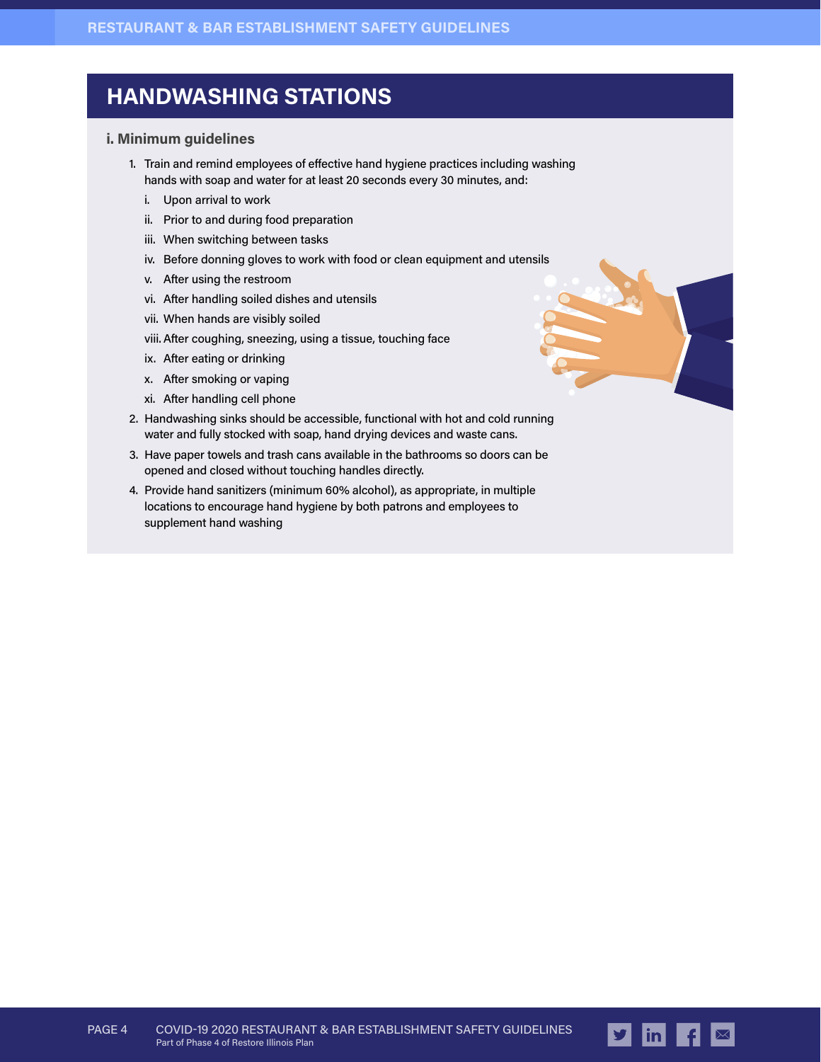### **HANDWASHING STATIONS**

#### **i. Minimum guidelines**

- 1. Train and remind employees of effective hand hygiene practices including washing hands with soap and water for at least 20 seconds every 30 minutes, and:
	- i. Upon arrival to work
	- ii. Prior to and during food preparation
	- iii. When switching between tasks
	- iv. Before donning gloves to work with food or clean equipment and utensils
	- v. After using the restroom
	- vi. After handling soiled dishes and utensils
	- vii. When hands are visibly soiled
	- viii.After coughing, sneezing, using a tissue, touching face
	- ix. After eating or drinking
	- x. After smoking or vaping
	- xi. After handling cell phone
- 2. Handwashing sinks should be accessible, functional with hot and cold running water and fully stocked with soap, hand drying devices and waste cans.
- 3. Have paper towels and trash cans available in the bathrooms so doors can be opened and closed without touching handles directly.
- 4. Provide hand sanitizers (minimum 60% alcohol), as appropriate, in multiple locations to encourage hand hygiene by both patrons and employees to supplement hand washing



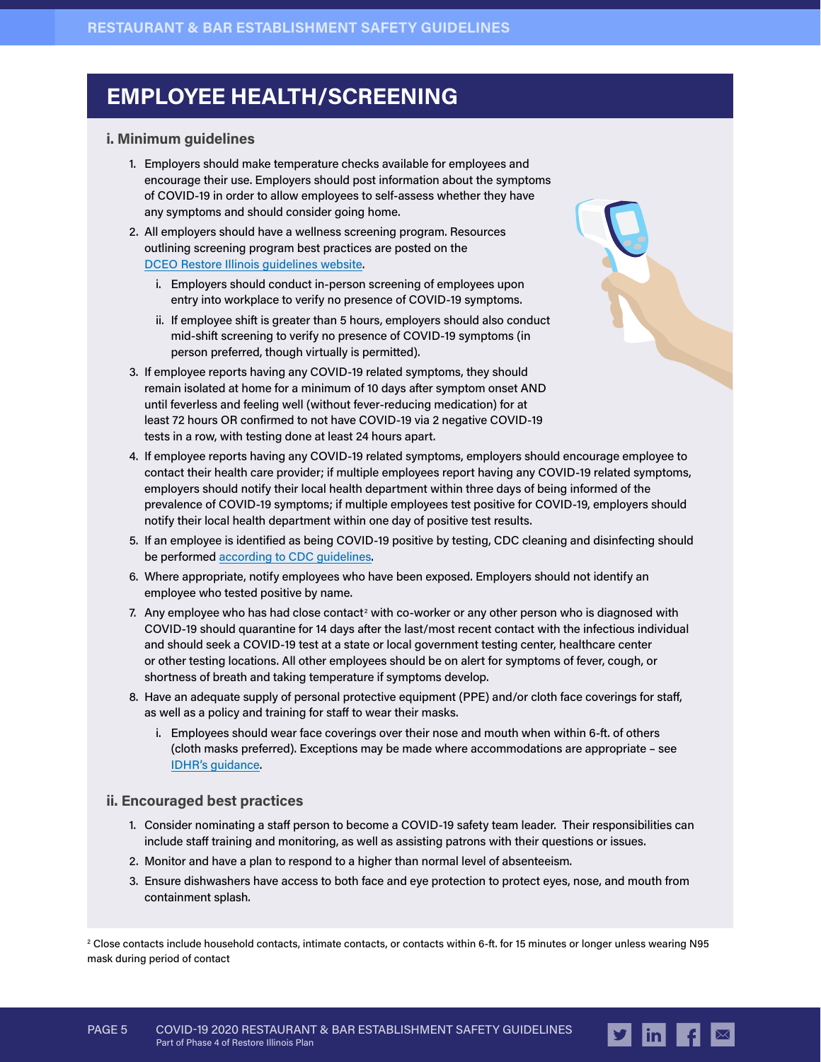### **EMPLOYEE HEALTH/SCREENING**

#### **i. Minimum guidelines**

- 1. Employers should make temperature checks available for employees and encourage their use. Employers should post information about the symptoms of COVID-19 in order to allow employees to self-assess whether they have any symptoms and should consider going home.
- 2. All employers should have a wellness screening program. Resources outlining screening program best practices are posted on the [DCEO Restore Illinois guidelines website](https://dceocovid19resources.com/restore-illinois/restore-illinois-phase-4).
	- i. Employers should conduct in-person screening of employees upon entry into workplace to verify no presence of COVID-19 symptoms.
	- ii. If employee shift is greater than 5 hours, employers should also conduct mid-shift screening to verify no presence of COVID-19 symptoms (in person preferred, though virtually is permitted).
- 3. If employee reports having any COVID-19 related symptoms, they should remain isolated at home for a minimum of 10 days after symptom onset AND until feverless and feeling well (without fever-reducing medication) for at least 72 hours OR confirmed to not have COVID-19 via 2 negative COVID-19 tests in a row, with testing done at least 24 hours apart.
- 

 $\ln$   $f \propto$ 

- 4. If employee reports having any COVID-19 related symptoms, employers should encourage employee to contact their health care provider; if multiple employees report having any COVID-19 related symptoms, employers should notify their local health department within three days of being informed of the prevalence of COVID-19 symptoms; if multiple employees test positive for COVID-19, employers should notify their local health department within one day of positive test results.
- 5. If an employee is identified as being COVID-19 positive by testing, CDC cleaning and disinfecting should be performed according to [CDC guidelines.](https://www.cdc.gov/coronavirus/2019-ncov/community/disinfecting-building-facility.html)
- 6. Where appropriate, notify employees who have been exposed. Employers should not identify an employee who tested positive by name.
- 7. Any employee who has had close contact<sup>2</sup> with co-worker or any other person who is diagnosed with COVID-19 should quarantine for 14 days after the last/most recent contact with the infectious individual and should seek a COVID-19 test at a state or local government testing center, healthcare center or other testing locations. All other employees should be on alert for symptoms of fever, cough, or shortness of breath and taking temperature if symptoms develop.
- 8. Have an adequate supply of personal protective equipment (PPE) and/or cloth face coverings for staff, as well as a policy and training for staff to wear their masks.
	- i. Employees should wear face coverings over their nose and mouth when within 6-ft. of others (cloth masks preferred). Exceptions may be made where accommodations are appropriate – see [IDHR's guidance.](https://www2.illinois.gov/dhr/Documents/IDHR_FAQ_for_Businesses_Concerning_Use_of_Face-Coverings_During_COVID-19_Ver_2020511b%20copy.pdf)

#### **ii. Encouraged best practices**

- 1. Consider nominating a staff person to become a COVID-19 safety team leader. Their responsibilities can include staff training and monitoring, as well as assisting patrons with their questions or issues.
- 2. Monitor and have a plan to respond to a higher than normal level of absenteeism.
- 3. Ensure dishwashers have access to both face and eye protection to protect eyes, nose, and mouth from containment splash.

2 Close contacts include household contacts, intimate contacts, or contacts within 6-ft. for 15 minutes or longer unless wearing N95 mask during period of contact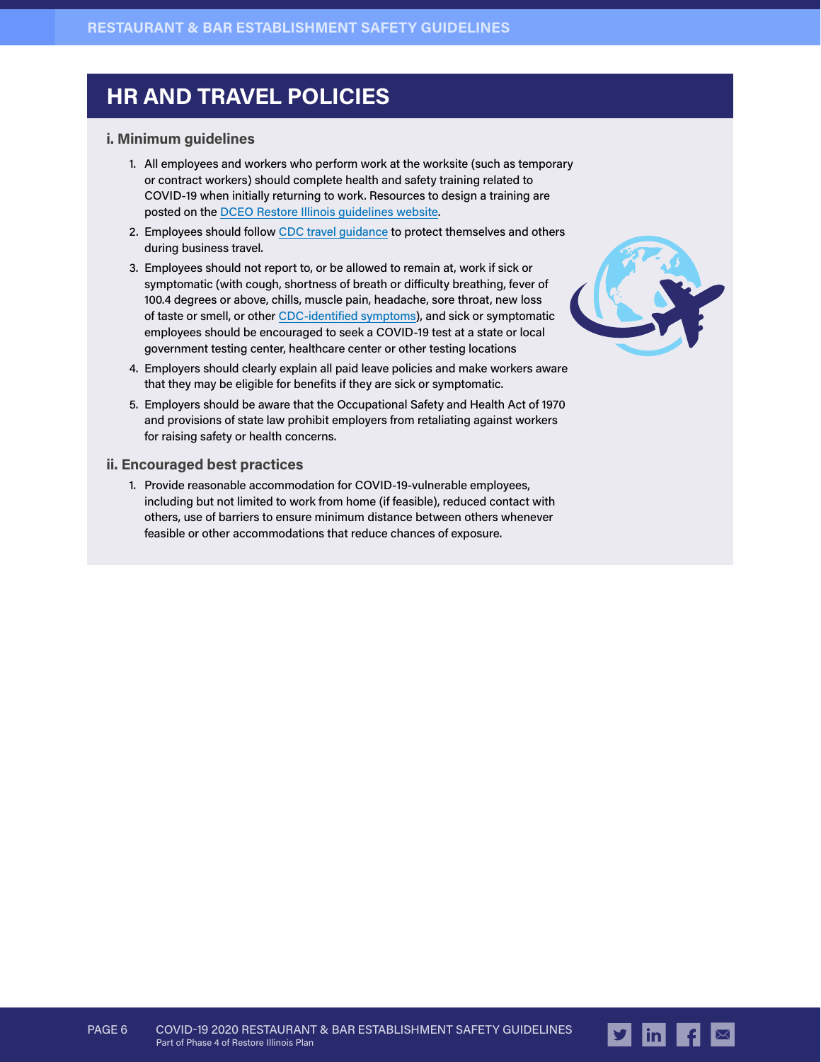### **HR AND TRAVEL POLICIES**

#### **i. Minimum guidelines**

- 1. All employees and workers who perform work at the worksite (such as temporary or contract workers) should complete health and safety training related to COVID-19 when initially returning to work. Resources to design a training are posted on the [DCEO Restore Illinois guidelines website.](https://dceocovid19resources.com/restore-illinois/restore-illinois-phase-4)
- 2. Employees should follow [CDC travel guidance](https://www.cdc.gov/coronavirus/2019-ncov/travelers/index.html) to protect themselves and others during business travel.
- 3. Employees should not report to, or be allowed to remain at, work if sick or symptomatic (with cough, shortness of breath or difficulty breathing, fever of 100.4 degrees or above, chills, muscle pain, headache, sore throat, new loss of taste or smell, or other [CDC-identified symptoms](https://www.cdc.gov/coronavirus/2019-ncov/symptoms-testing/symptoms.html)), and sick or symptomatic employees should be encouraged to seek a COVID-19 test at a state or local government testing center, healthcare center or other testing locations
- 4. Employers should clearly explain all paid leave policies and make workers aware that they may be eligible for benefits if they are sick or symptomatic.
- 5. Employers should be aware that the Occupational Safety and Health Act of 1970 and provisions of state law prohibit employers from retaliating against workers for raising safety or health concerns.

#### **ii. Encouraged best practices**

1. Provide reasonable accommodation for COVID-19-vulnerable employees, including but not limited to work from home (if feasible), reduced contact with others, use of barriers to ensure minimum distance between others whenever feasible or other accommodations that reduce chances of exposure.



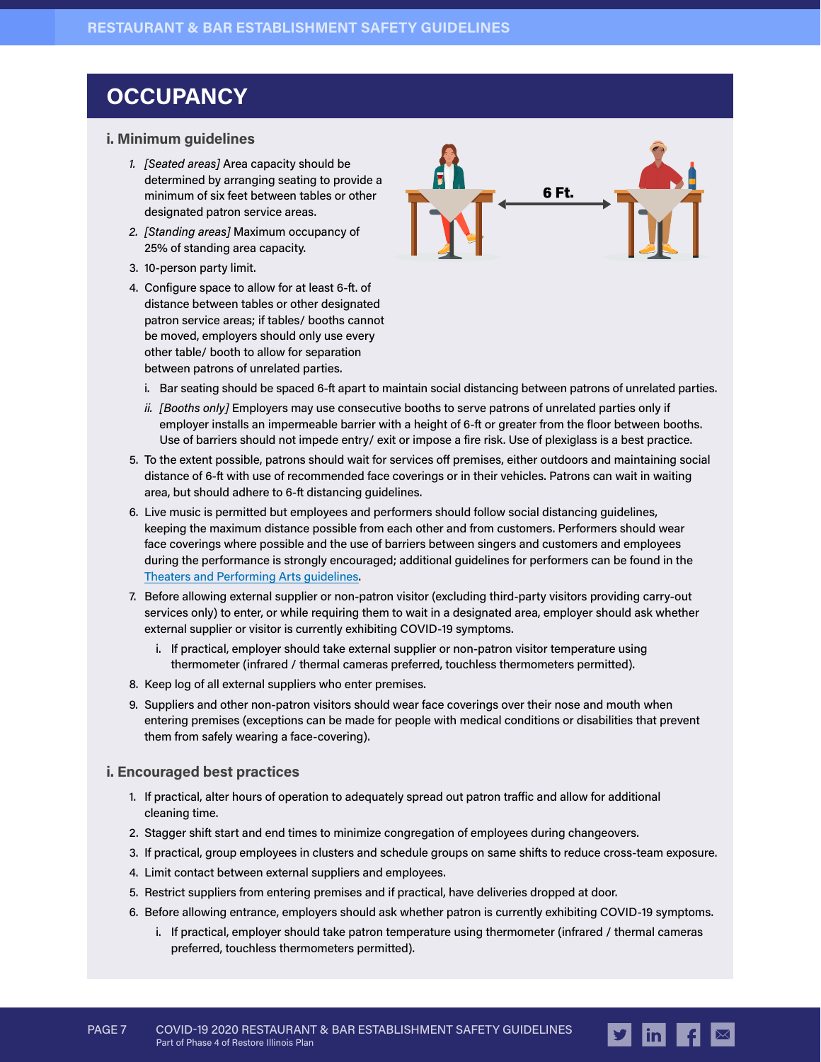### **OCCUPANCY**

#### **i. Minimum guidelines**

- *1. [Seated areas]* Area capacity should be determined by arranging seating to provide a minimum of six feet between tables or other designated patron service areas.
- *2. [Standing areas]* Maximum occupancy of 25% of standing area capacity.
- 3. 10-person party limit.
- 4. Configure space to allow for at least 6-ft. of distance between tables or other designated patron service areas; if tables/ booths cannot be moved, employers should only use every other table/ booth to allow for separation between patrons of unrelated parties.



- i. Bar seating should be spaced 6-ft apart to maintain social distancing between patrons of unrelated parties.
- *ii. [Booths only]* Employers may use consecutive booths to serve patrons of unrelated parties only if employer installs an impermeable barrier with a height of 6-ft or greater from the floor between booths. Use of barriers should not impede entry/ exit or impose a fire risk. Use of plexiglass is a best practice.
- 5. To the extent possible, patrons should wait for services off premises, either outdoors and maintaining social distance of 6-ft with use of recommended face coverings or in their vehicles. Patrons can wait in waiting area, but should adhere to 6-ft distancing guidelines.
- 6. Live music is permitted but employees and performers should follow social distancing guidelines, keeping the maximum distance possible from each other and from customers. Performers should wear face coverings where possible and the use of barriers between singers and customers and employees during the performance is strongly encouraged; additional guidelines for performers can be found in the [Theaters and Performing Arts guidelines.](https://dceocovid19resources.com/assets/Restore-Illinois/businessguidelines4/theaters.pdf)
- 7. Before allowing external supplier or non-patron visitor (excluding third-party visitors providing carry-out services only) to enter, or while requiring them to wait in a designated area, employer should ask whether external supplier or visitor is currently exhibiting COVID-19 symptoms.
	- i. If practical, employer should take external supplier or non-patron visitor temperature using thermometer (infrared / thermal cameras preferred, touchless thermometers permitted).
- 8. Keep log of all external suppliers who enter premises.
- 9. Suppliers and other non-patron visitors should wear face coverings over their nose and mouth when entering premises (exceptions can be made for people with medical conditions or disabilities that prevent them from safely wearing a face-covering).

### **i. Encouraged best practices**

- 1. If practical, alter hours of operation to adequately spread out patron traffic and allow for additional cleaning time.
- 2. Stagger shift start and end times to minimize congregation of employees during changeovers.
- 3. If practical, group employees in clusters and schedule groups on same shifts to reduce cross-team exposure.
- 4. Limit contact between external suppliers and employees.
- 5. Restrict suppliers from entering premises and if practical, have deliveries dropped at door.
- 6. Before allowing entrance, employers should ask whether patron is currently exhibiting COVID-19 symptoms.
	- i. If practical, employer should take patron temperature using thermometer (infrared / thermal cameras preferred, touchless thermometers permitted).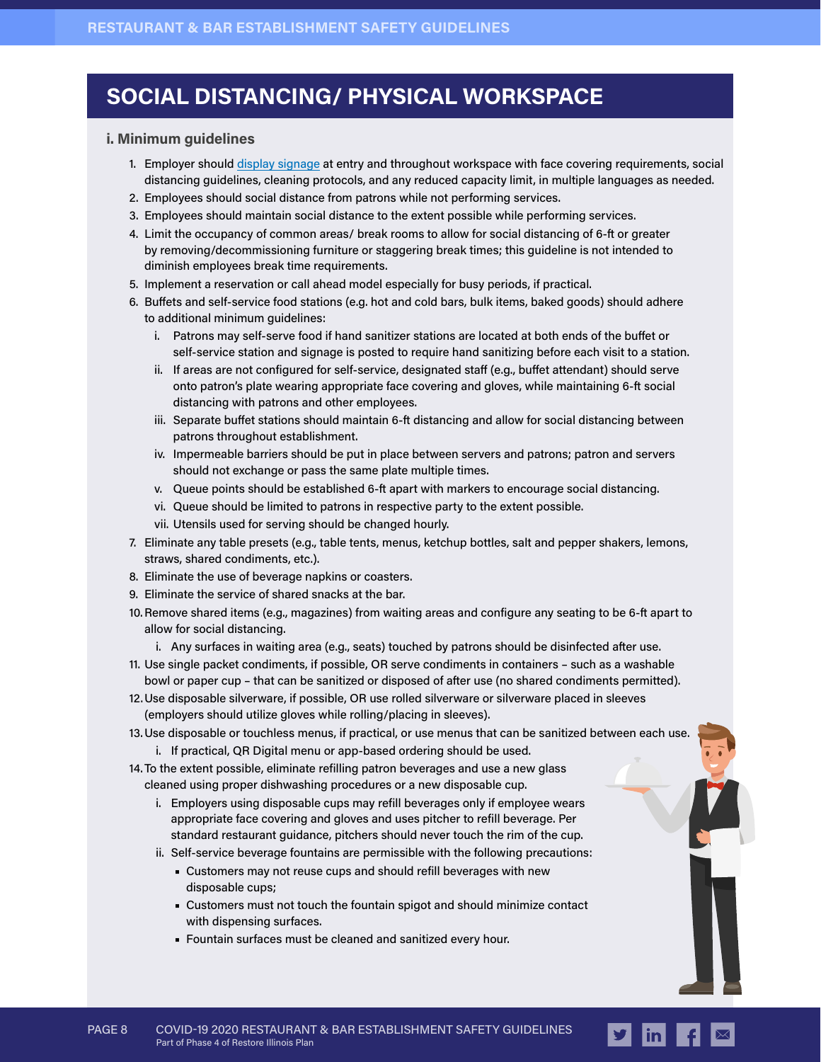### **SOCIAL DISTANCING/ PHYSICAL WORKSPACE**

#### **i. Minimum guidelines**

- 1. Employer should [display signage](https://dceocovid19resources.com/assets/Restore-Illinois/signage4/8.5x11.pdf) at entry and throughout workspace with face covering requirements, social distancing guidelines, cleaning protocols, and any reduced capacity limit, in multiple languages as needed.
- 2. Employees should social distance from patrons while not performing services.
- 3. Employees should maintain social distance to the extent possible while performing services.
- 4. Limit the occupancy of common areas/ break rooms to allow for social distancing of 6-ft or greater by removing/decommissioning furniture or staggering break times; this guideline is not intended to diminish employees break time requirements.
- 5. Implement a reservation or call ahead model especially for busy periods, if practical.
- 6. Buffets and self-service food stations (e.g. hot and cold bars, bulk items, baked goods) should adhere to additional minimum guidelines:
	- i. Patrons may self-serve food if hand sanitizer stations are located at both ends of the buffet or self-service station and signage is posted to require hand sanitizing before each visit to a station.
	- ii. If areas are not configured for self-service, designated staff (e.g., buffet attendant) should serve onto patron's plate wearing appropriate face covering and gloves, while maintaining 6-ft social distancing with patrons and other employees.
	- iii. Separate buffet stations should maintain 6-ft distancing and allow for social distancing between patrons throughout establishment.
	- iv. Impermeable barriers should be put in place between servers and patrons; patron and servers should not exchange or pass the same plate multiple times.
	- v. Queue points should be established 6-ft apart with markers to encourage social distancing.
	- vi. Queue should be limited to patrons in respective party to the extent possible.
	- vii. Utensils used for serving should be changed hourly.
- 7. Eliminate any table presets (e.g., table tents, menus, ketchup bottles, salt and pepper shakers, lemons, straws, shared condiments, etc.).
- 8. Eliminate the use of beverage napkins or coasters.
- 9. Eliminate the service of shared snacks at the bar.
- 10.Remove shared items (e.g., magazines) from waiting areas and configure any seating to be 6-ft apart to allow for social distancing.
	- i. Any surfaces in waiting area (e.g., seats) touched by patrons should be disinfected after use.
- 11. Use single packet condiments, if possible, OR serve condiments in containers such as a washable bowl or paper cup – that can be sanitized or disposed of after use (no shared condiments permitted).
- 12.Use disposable silverware, if possible, OR use rolled silverware or silverware placed in sleeves (employers should utilize gloves while rolling/placing in sleeves).
- 13.Use disposable or touchless menus, if practical, or use menus that can be sanitized between each use. i. If practical, QR Digital menu or app-based ordering should be used.
- 14.To the extent possible, eliminate refilling patron beverages and use a new glass cleaned using proper dishwashing procedures or a new disposable cup.
	- i. Employers using disposable cups may refill beverages only if employee wears appropriate face covering and gloves and uses pitcher to refill beverage. Per standard restaurant guidance, pitchers should never touch the rim of the cup.
	- ii. Self-service beverage fountains are permissible with the following precautions:
		- Customers may not reuse cups and should refill beverages with new disposable cups;
		- Customers must not touch the fountain spigot and should minimize contact with dispensing surfaces.

 $|$ in $|$ 

■ Fountain surfaces must be cleaned and sanitized every hour.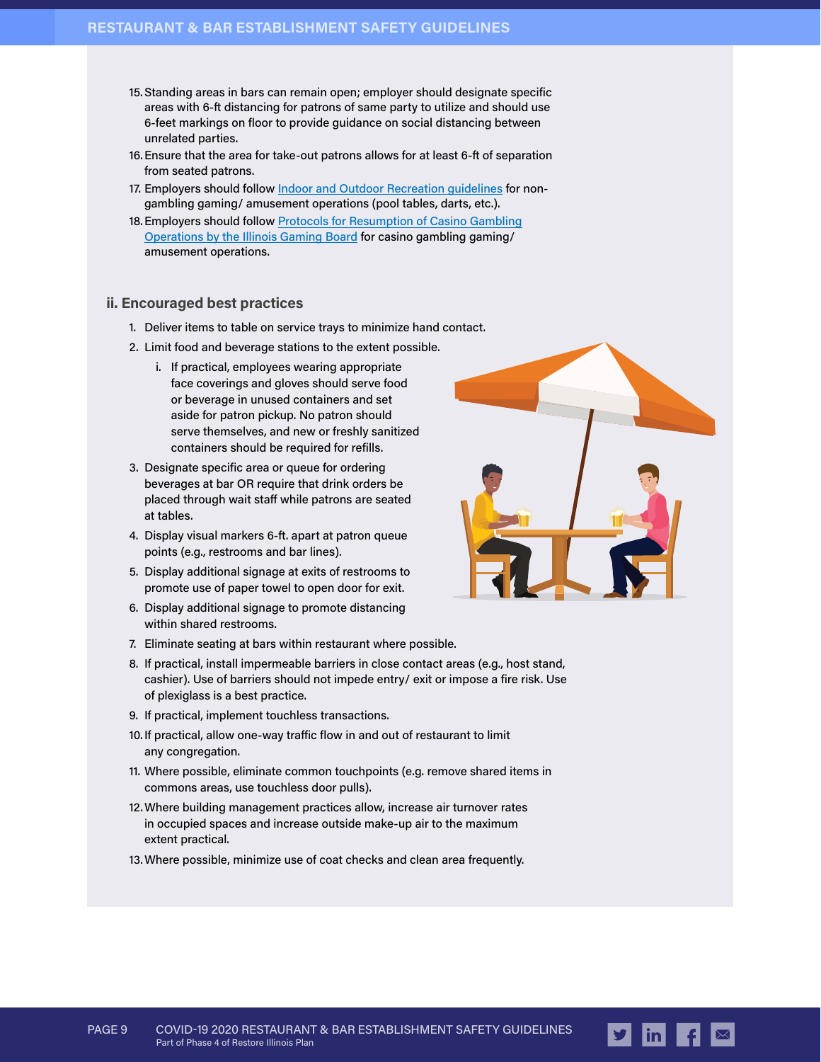#### **RESTAURANT & BAR ESTABLISHMENT SAFETY GUIDELINES**

- 15.Standing areas in bars can remain open; employer should designate specific areas with 6-ft distancing for patrons of same party to utilize and should use 6-feet markings on floor to provide guidance on social distancing between unrelated parties.
- 16.Ensure that the area for take-out patrons allows for at least 6-ft of separation from seated patrons.
- 17. Employers should follow [Indoor and Outdoor Recreation guidelines](https://dceocovid19resources.com/assets/Restore-Illinois/businessguidelines4/indooroutdoorrec.pdf) for nongambling gaming/ amusement operations (pool tables, darts, etc.).
- 18.Employers should follow [Protocols for Resumption of Casino Gambling](https://www.igb.illinois.gov/FilesPressReleases/Casino%20and%20Video%20Gaming%20Resumption%20Protocols.pdf) [Operations by the Illinois Gaming Board](https://www.igb.illinois.gov/FilesPressReleases/Casino%20and%20Video%20Gaming%20Resumption%20Protocols.pdf) for casino gambling gaming/ amusement operations.

#### **ii. Encouraged best practices**

- 1. Deliver items to table on service trays to minimize hand contact.
- 2. Limit food and beverage stations to the extent possible.
	- i. If practical, employees wearing appropriate face coverings and gloves should serve food or beverage in unused containers and set aside for patron pickup. No patron should serve themselves, and new or freshly sanitized containers should be required for refills.
- 3. Designate specific area or queue for ordering beverages at bar OR require that drink orders be placed through wait staff while patrons are seated at tables.
- 4. Display visual markers 6-ft. apart at patron queue points (e.g., restrooms and bar lines).
- 5. Display additional signage at exits of restrooms to promote use of paper towel to open door for exit.
- 6. Display additional signage to promote distancing within shared restrooms.
- 7. Eliminate seating at bars within restaurant where possible.
- 8. If practical, install impermeable barriers in close contact areas (e.g., host stand, cashier). Use of barriers should not impede entry/ exit or impose a fire risk. Use of plexiglass is a best practice.
- 9. If practical, implement touchless transactions.
- 10.If practical, allow one-way traffic flow in and out of restaurant to limit any congregation.
- 11. Where possible, eliminate common touchpoints (e.g. remove shared items in commons areas, use touchless door pulls).
- 12.Where building management practices allow, increase air turnover rates in occupied spaces and increase outside make-up air to the maximum extent practical.
- 13.Where possible, minimize use of coat checks and clean area frequently.



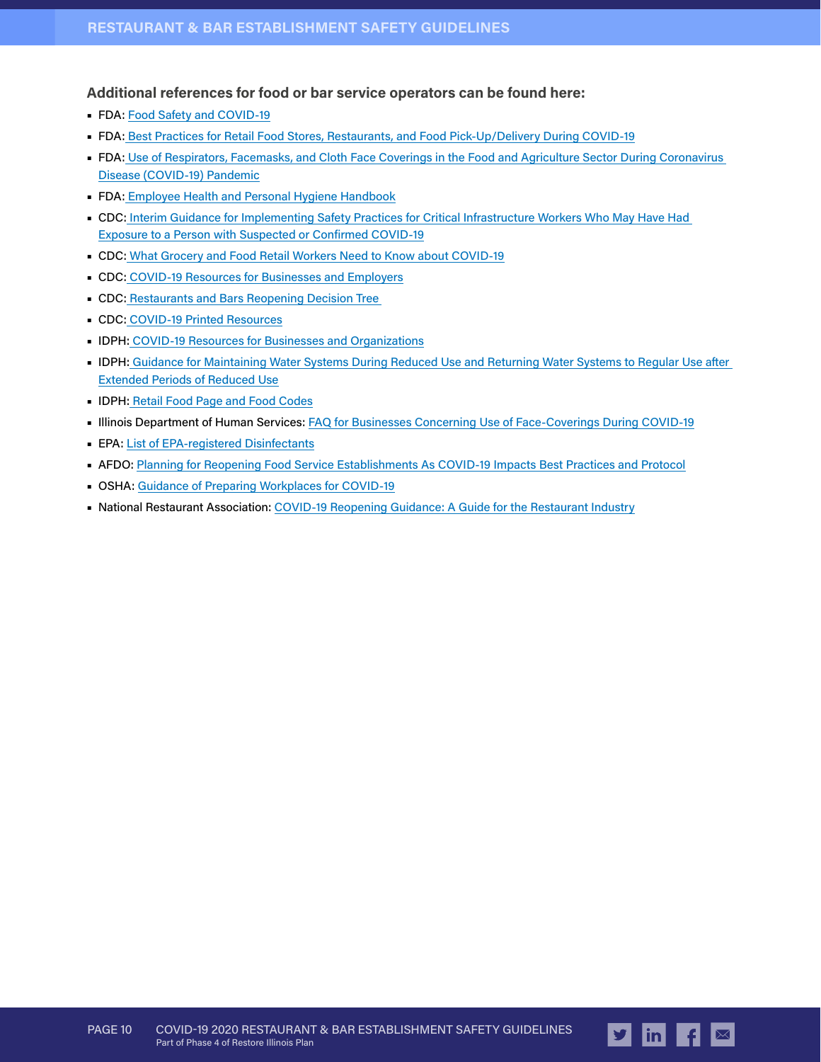#### **Additional references for food or bar service operators can be found here:**

- FDA: [Food Safety and COVID-19](https://www.fda.gov/food/food-safety-during-emergencies/food-safety-and-coronavirus-disease-2019-covid-19)
- FDA[: Best Practices for Retail Food Stores, Restaurants, and Food Pick-Up/Delivery During COVID-19](https://www.fda.gov/food/food-safety-during-emergencies/best-practices-retail-food-stores-restaurants-and-food-pick-updelivery-services-during-covid-19)
- FDA[:](https://www.fda.gov/food/food-safety-during-emergencies/best-practices-retail-food-stores-restaurants-and-food-pick-updelivery-services-during-covid-19) [Use of Respirators, Facemasks, and Cloth Face Coverings in the Food and Agriculture Sector During Coronavirus](https://www.fda.gov/food/food-safety-during-emergencies/use-respirators-facemasks-and-cloth-face-coverings-food-and-agriculture-sector-during-coronavirus)  [Disease \(COVID-19\) Pandemic](https://www.fda.gov/food/food-safety-during-emergencies/use-respirators-facemasks-and-cloth-face-coverings-food-and-agriculture-sector-during-coronavirus)
- **FDA: [Employee Health and Personal Hygiene Handbook](https://www.fda.gov/food/retail-food-industryregulatory-assistance-training/retail-food-protection-employee-health-and-personal-hygiene-handbook)**
- CDC:[Interim Guidance for Implementing Safety Practices for Critical Infrastructure Workers Who May Have Had](https://www.cdc.gov/coronavirus/2019-ncov/community/critical-workers/implementing-safety-practices.html)  [Exposure to a Person with Suspected or Confirmed COVID-19](https://www.cdc.gov/coronavirus/2019-ncov/community/critical-workers/implementing-safety-practices.html)
- CDC:[What Grocery and Food Retail Workers Need to Know about COVID-19](https://www.cdc.gov/coronavirus/2019-ncov/community/organizations/grocery-food-retail-workers.html)
- CDC:[COVID-19 Resources for Businesses and Employers](https://www.cdc.gov/coronavirus/2019-ncov/community/organizations/businesses-employers.html)
- CDC:[Restaurants and Bars Reopening Decision Tree](https://www.cdc.gov/coronavirus/2019-ncov/downloads/community/restaurants-and-bars-decision-tree.pdf)
- CDC:[COVID-19 Printed Resources](https://www.cdc.gov/coronavirus/2019-ncov/communication/print-resources.html?Sort=Date%3A%3Adesc)
- ■IDPH: [COVID-19 Resources for Businesses and Organizations](https://www.dph.illinois.gov/topics-services/diseases-and-conditions/diseases-a-z-list/coronavirus/business-guidance)
- IDPH:[Guidance for Maintaining Water Systems During Reduced Use and Returning Water Systems to Regular Use after](http://www.dph.illinois.gov/sites/default/files/IDPH%20Plumbing%20Program%20General%20Building%20Guidance%20for%20Reopening%205.13.20%20%28002%29.pdf)  [Extended Periods of Reduced Use](http://www.dph.illinois.gov/sites/default/files/IDPH%20Plumbing%20Program%20General%20Building%20Guidance%20for%20Reopening%205.13.20%20%28002%29.pdf)
- IDPH:[Retail Food Page and Food Codes](https://www.dph.illinois.gov/topics-services/food-safety/retail-food)
- Illinois Department of Human Services: [FAQ for Businesses Concerning Use of Face-Coverings During COVID-19](https://www2.illinois.gov/dhr/Documents/IDHR_FAQ_for_Businesses_Concerning_Use_of_Face-Coverings_During_COVID-19_Ver_2020511b%20copy.pdf)
- EPA: [List of EPA-registered Disinfectants](https://www.epa.gov/pesticide-registration/list-n-disinfectants-use-against-sars-cov-2-covid-19)
- AFDO: [Planning for Reopening Food Service Establishments As COVID-19 Impacts Best Practices and Protocol](http://www.afdo.org/resources/Documents/COVID19/AFDO%20Restaurant%20Reopening%20Fact%20Sheet%20v.5.pdf)
- OSHA: [Guidance of Preparing Workplaces for COVID-19](https://www.osha.gov/Publications/OSHA3990.pdf)
- National Restaurant Association: [COVID-19 Reopening Guidance: A Guide for the Restaurant Industry](https://restaurant.org/downloads/pdfs/business/covid19-reopen-guidance.pdf)

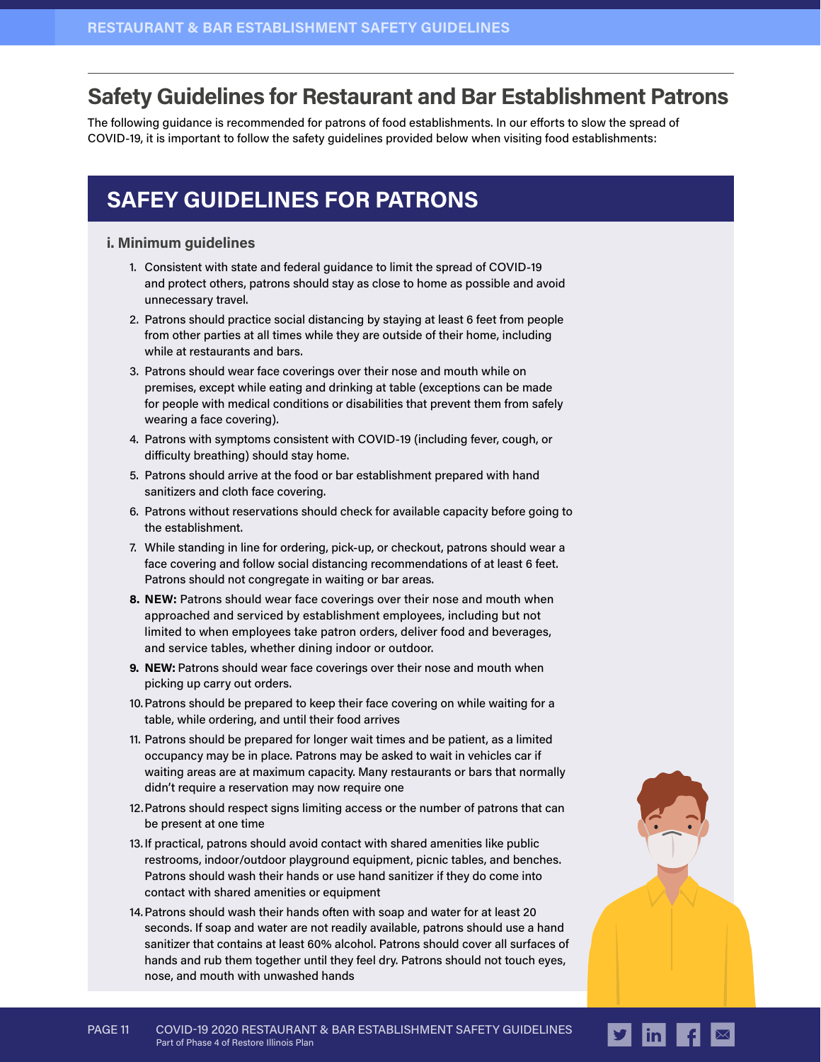### **Safety Guidelines for Restaurant and Bar Establishment Patrons**

The following guidance is recommended for patrons of food establishments. In our efforts to slow the spread of COVID-19, it is important to follow the safety guidelines provided below when visiting food establishments:

### **SAFEY GUIDELINES FOR PATRONS**

#### **i. Minimum guidelines**

- 1. Consistent with state and federal guidance to limit the spread of COVID-19 and protect others, patrons should stay as close to home as possible and avoid unnecessary travel.
- 2. Patrons should practice social distancing by staying at least 6 feet from people from other parties at all times while they are outside of their home, including while at restaurants and bars.
- 3. Patrons should wear face coverings over their nose and mouth while on premises, except while eating and drinking at table (exceptions can be made for people with medical conditions or disabilities that prevent them from safely wearing a face covering).
- 4. Patrons with symptoms consistent with COVID-19 (including fever, cough, or difficulty breathing) should stay home.
- 5. Patrons should arrive at the food or bar establishment prepared with hand sanitizers and cloth face covering.
- 6. Patrons without reservations should check for available capacity before going to the establishment.
- 7. While standing in line for ordering, pick-up, or checkout, patrons should wear a face covering and follow social distancing recommendations of at least 6 feet. Patrons should not congregate in waiting or bar areas.
- **8. NEW:** Patrons should wear face coverings over their nose and mouth when approached and serviced by establishment employees, including but not limited to when employees take patron orders, deliver food and beverages, and service tables, whether dining indoor or outdoor.
- **9. NEW:** Patrons should wear face coverings over their nose and mouth when picking up carry out orders.
- 10.Patrons should be prepared to keep their face covering on while waiting for a table, while ordering, and until their food arrives
- 11. Patrons should be prepared for longer wait times and be patient, as a limited occupancy may be in place. Patrons may be asked to wait in vehicles car if waiting areas are at maximum capacity. Many restaurants or bars that normally didn't require a reservation may now require one
- 12.Patrons should respect signs limiting access or the number of patrons that can be present at one time
- 13.If practical, patrons should avoid contact with shared amenities like public restrooms, indoor/outdoor playground equipment, picnic tables, and benches. Patrons should wash their hands or use hand sanitizer if they do come into contact with shared amenities or equipment
- 14.Patrons should wash their hands often with soap and water for at least 20 seconds. If soap and water are not readily available, patrons should use a hand sanitizer that contains at least 60% alcohol. Patrons should cover all surfaces of hands and rub them together until they feel dry. Patrons should not touch eyes, nose, and mouth with unwashed hands

 $\mathsf{lin}$ 

l fl